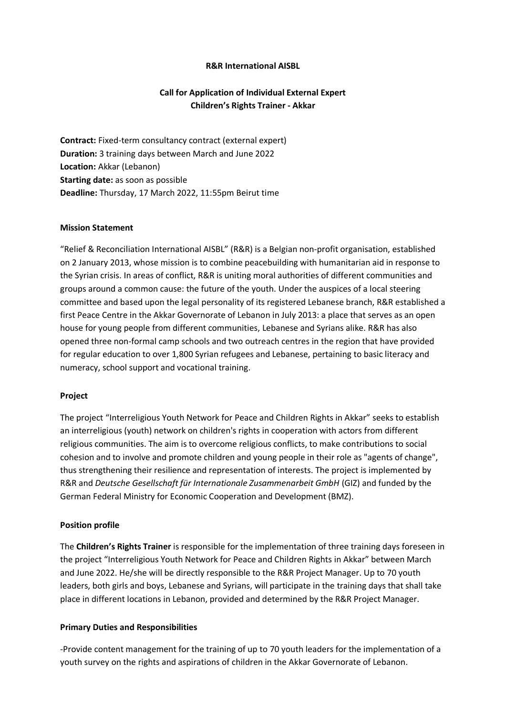# **R&R International AISBL**

# **Call for Application of Individual External Expert Children's Rights Trainer - Akkar**

**Contract:** Fixed-term consultancy contract (external expert) **Duration:** 3 training days between March and June 2022 **Location:** Akkar (Lebanon) **Starting date:** as soon as possible **Deadline:** Thursday, 17 March 2022, 11:55pm Beirut time

### **Mission Statement**

"Relief & Reconciliation International AISBL" (R&R) is a Belgian non-profit organisation, established on 2 January 2013, whose mission is to combine peacebuilding with humanitarian aid in response to the Syrian crisis. In areas of conflict, R&R is uniting moral authorities of different communities and groups around a common cause: the future of the youth. Under the auspices of a local steering committee and based upon the legal personality of its registered Lebanese branch, R&R established a first Peace Centre in the Akkar Governorate of Lebanon in July 2013: a place that serves as an open house for young people from different communities, Lebanese and Syrians alike. R&R has also opened three non-formal camp schools and two outreach centres in the region that have provided for regular education to over 1,800 Syrian refugees and Lebanese, pertaining to basic literacy and numeracy, school support and vocational training.

#### **Project**

The project "Interreligious Youth Network for Peace and Children Rights in Akkar" seeks to establish an interreligious (youth) network on children's rights in cooperation with actors from different religious communities. The aim is to overcome religious conflicts, to make contributions to social cohesion and to involve and promote children and young people in their role as "agents of change", thus strengthening their resilience and representation of interests. The project is implemented by R&R and *Deutsche Gesellschaft für Internationale Zusammenarbeit GmbH* (GIZ) and funded by the German Federal Ministry for Economic Cooperation and Development (BMZ).

### **Position profile**

The **Children's Rights Trainer** is responsible for the implementation of three training days foreseen in the project "Interreligious Youth Network for Peace and Children Rights in Akkar" between March and June 2022. He/she will be directly responsible to the R&R Project Manager. Up to 70 youth leaders, both girls and boys, Lebanese and Syrians, will participate in the training days that shall take place in different locations in Lebanon, provided and determined by the R&R Project Manager.

#### **Primary Duties and Responsibilities**

-Provide content management for the training of up to 70 youth leaders for the implementation of a youth survey on the rights and aspirations of children in the Akkar Governorate of Lebanon.